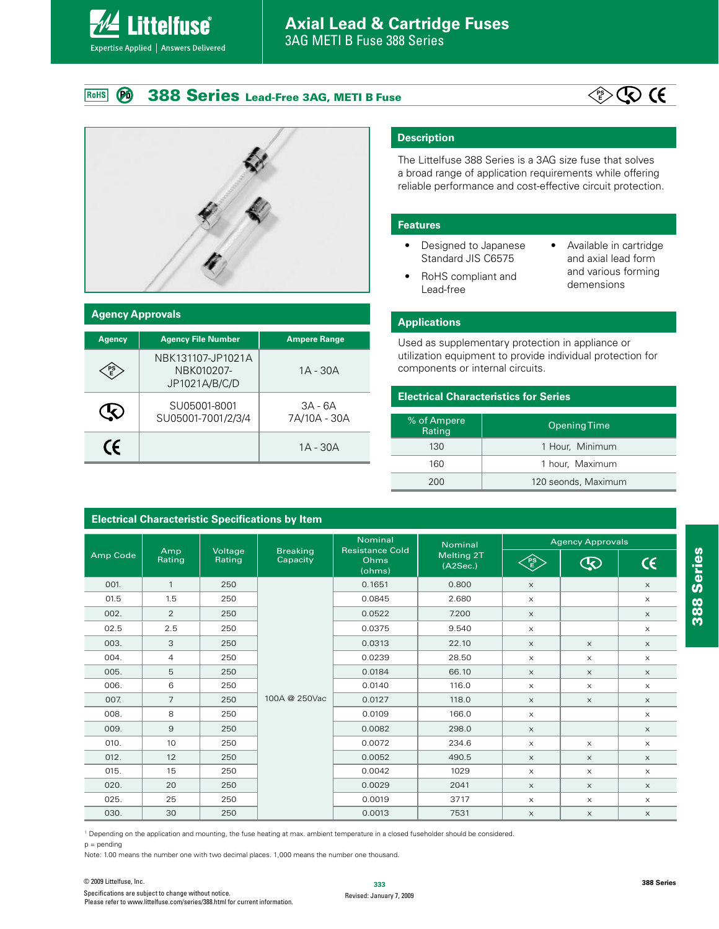#### **388 Series Lead-Free 3AG, METI B Fuse**  $(P<sub>0</sub>)$ RoHS

**Littelfuse**®

Expertise Applied | Answers Delivered





| <b>Agency Approvals</b> |                                                  |                           |  |  |
|-------------------------|--------------------------------------------------|---------------------------|--|--|
| <b>Agency</b>           | <b>Agency File Number</b>                        | <b>Ampere Range</b>       |  |  |
| PS<br>E                 | NBK131107-JP1021A<br>NBK010207-<br>JP1021A/B/C/D | $1A - 30A$                |  |  |
|                         | SU05001-8001<br>SU05001-7001/2/3/4               | $3A - 6A$<br>7A/10A - 30A |  |  |
| CE                      |                                                  | $1A - 30A$                |  |  |

**Electrical Characteristic Specifications by Item**

#### **Description**

The Littelfuse 388 Series is a 3AG size fuse that solves a broad range of application requirements while offering reliable performance and cost-effective circuit protection.

#### **Features**

- Designed to Japanese Standard JIS C6575
- Available in cartridge and axial lead form and various forming demensions
- RoHS compliant and Lead-free

# **Applications**

Used as supplementary protection in appliance or utilization equipment to provide individual protection for components or internal circuits.

#### **Electrical Characteristics for Series**

| % of Ampere<br>Rating | Opening Time        |  |
|-----------------------|---------------------|--|
| 130                   | 1 Hour, Minimum     |  |
| 160                   | 1 hour, Maximum     |  |
| 200                   | 120 seonds, Maximum |  |

|          |                |                   |                             | Nominal                                  | Nominal                | <b>Agency Approvals</b> |                       |                           |
|----------|----------------|-------------------|-----------------------------|------------------------------------------|------------------------|-------------------------|-----------------------|---------------------------|
| Amp Code | Amp<br>Rating  | Voltage<br>Rating | <b>Breaking</b><br>Capacity | <b>Resistance Cold</b><br>Ohms<br>(ohms) | Melting 2T<br>(A2Sec.) | ES                      | $\bigcirc$            | $\epsilon$                |
| 001.     | $\mathbf{1}$   | 250               |                             | 0.1651                                   | 0.800                  | $\times$                |                       | $\times$                  |
| 01.5     | 1.5            | 250               |                             | 0.0845                                   | 2.680                  | $\boldsymbol{\times}$   |                       | $\times$                  |
| 002.     | 2              | 250               |                             | 0.0522                                   | 7.200                  | $\times$                |                       | $\times$                  |
| 02.5     | 2.5            | 250               |                             | 0.0375                                   | 9.540                  | $\times$                |                       | $\times$                  |
| 003.     | 3              | 250               |                             | 0.0313                                   | 22.10                  | $\times$                | $\boldsymbol{\times}$ | $\times$                  |
| 004.     | $\overline{4}$ | 250               |                             | 0.0239                                   | 28.50                  | $\times$                | $\times$              | $\times$                  |
| 005.     | 5              | 250               |                             | 0.0184                                   | 66.10                  | $\times$                | $\boldsymbol{\times}$ | $\boldsymbol{\mathsf{X}}$ |
| 006.     | 6              | 250               |                             | 0.0140                                   | 116.0                  | $\times$                | $\times$              | $\times$                  |
| 007.     | $\overline{7}$ | 250               | 100A @ 250Vac               | 0.0127                                   | 118.0                  | $\times$                | $\boldsymbol{\times}$ | $\times$                  |
| 008.     | 8              | 250               |                             | 0.0109                                   | 166.0                  | $\times$                |                       | $\times$                  |
| 009.     | 9              | 250               |                             | 0.0082                                   | 298.0                  | $\times$                |                       | $\times$                  |
| 010.     | 10             | 250               |                             | 0.0072                                   | 234.6                  | $\times$                | $\boldsymbol{\times}$ | $\times$                  |
| 012.     | 12             | 250               |                             | 0.0052                                   | 490.5                  | $\times$                | $\times$              | $\times$                  |
| 015.     | 15             | 250               |                             | 0.0042                                   | 1029                   | $\times$                | $\times$              | $\times$                  |
| 020.     | 20             | 250               |                             | 0.0029                                   | 2041                   | $\boldsymbol{\times}$   | $\times$              | $\times$                  |
| 025.     | 25             | 250               |                             | 0.0019                                   | 3717                   | $\times$                | $\times$              | $\times$                  |
| 030.     | 30             | 250               |                             | 0.0013                                   | 7531                   | $\mathsf X$             | $\mathsf X$           | $\times$                  |

1 Depending on the application and mounting, the fuse heating at max. ambient temperature in a closed fuseholder should be considered.

 $p =$  pending

Note: 1.00 means the number one with two decimal places. 1,000 means the number one thousand.

**388 Series**

388 Series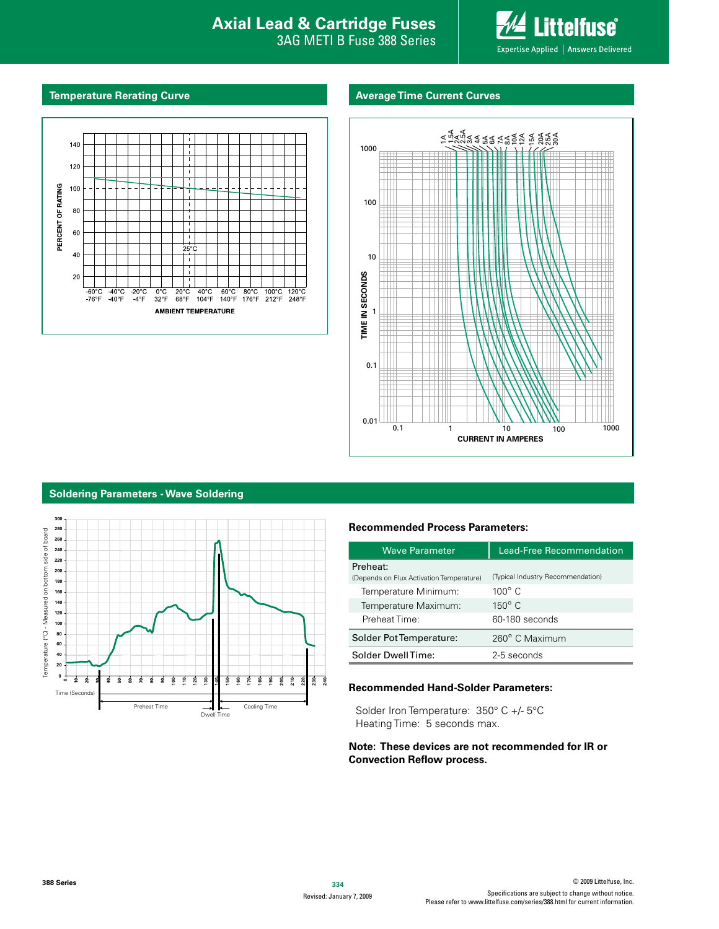# **Interproduction Interacts Axial Lead & Cartridge Fuses**

3AG METI B Fuse 388 Series



#### **Temperature Rerating Curve Average Time Current Curves**





#### **Soldering Parameters - Wave Soldering**



#### **Recommended Process Parameters:**

| <b>Wave Parameter</b>                    | <b>Lead-Free Recommendation</b>   |  |  |
|------------------------------------------|-----------------------------------|--|--|
| Preheat:                                 |                                   |  |  |
| (Depends on Flux Activation Temperature) | (Typical Industry Recommendation) |  |  |
| Temperature Minimum:                     | $100^\circ$ C                     |  |  |
| Temperature Maximum:                     | $150^{\circ}$ C                   |  |  |
| Preheat Time:                            | 60-180 seconds                    |  |  |
| Solder Pot Temperature:                  | 260° C Maximum                    |  |  |
| Solder DwellTime:                        | 2-5 seconds                       |  |  |

#### **Recommended Hand-Solder Parameters:**

Solder Iron Temperature: 350° C +/- 5°C Heating Time: 5 seconds max.

#### **Note: These devices are not recommended for IR or Convection Reflow process.**